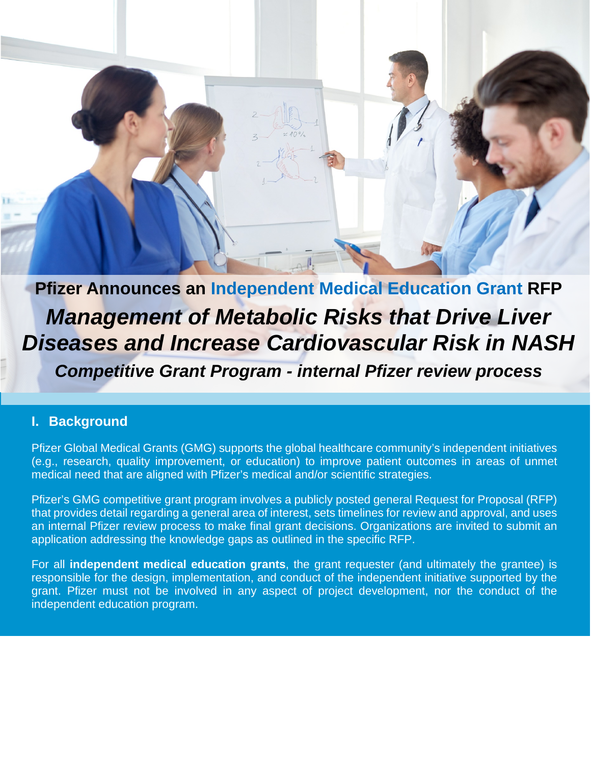**Pfizer Announces an Independent Medical Education Grant RFP** *Management of Metabolic Risks that Drive Liver Diseases and Increase Cardiovascular Risk in NASH*

*Competitive Grant Program - internal Pfizer review process*

#### **I. Background**

Pfizer Global Medical Grants (GMG) supports the global healthcare community's independent initiatives (e.g., research, quality improvement, or education) to improve patient outcomes in areas of unmet medical need that are aligned with Pfizer's medical and/or scientific strategies.

Pfizer's GMG competitive grant program involves a publicly posted general Request for Proposal (RFP) that provides detail regarding a general area of interest, sets timelines for review and approval, and uses an internal Pfizer review process to make final grant decisions. Organizations are invited to submit an application addressing the knowledge gaps as outlined in the specific RFP.

For all **independent medical education grants**, the grant requester (and ultimately the grantee) is responsible for the design, implementation, and conduct of the independent initiative supported by the grant. Pfizer must not be involved in any aspect of project development, nor the conduct of the independent education program.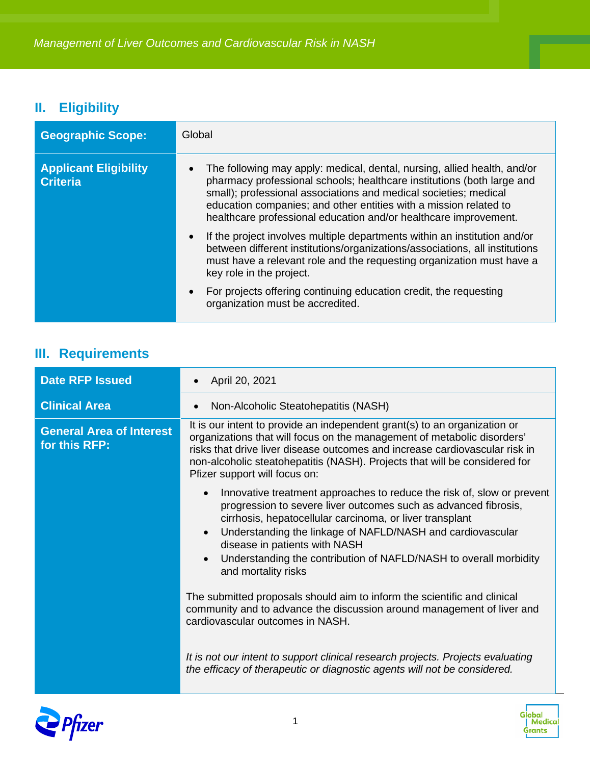# **II. Eligibility**

| <b>Geographic Scope:</b>                        | Global                                                                                                                                                                                                                                                                                                                                                          |
|-------------------------------------------------|-----------------------------------------------------------------------------------------------------------------------------------------------------------------------------------------------------------------------------------------------------------------------------------------------------------------------------------------------------------------|
| <b>Applicant Eligibility</b><br><b>Criteria</b> | The following may apply: medical, dental, nursing, allied health, and/or<br>pharmacy professional schools; healthcare institutions (both large and<br>small); professional associations and medical societies; medical<br>education companies; and other entities with a mission related to<br>healthcare professional education and/or healthcare improvement. |
|                                                 | If the project involves multiple departments within an institution and/or<br>$\bullet$<br>between different institutions/organizations/associations, all institutions<br>must have a relevant role and the requesting organization must have a<br>key role in the project.                                                                                      |
|                                                 | For projects offering continuing education credit, the requesting<br>$\bullet$<br>organization must be accredited.                                                                                                                                                                                                                                              |

# **III. Requirements**

| <b>Date RFP Issued</b>                           | April 20, 2021                                                                                                                                                                                                                                                                                                                                                                                                                          |
|--------------------------------------------------|-----------------------------------------------------------------------------------------------------------------------------------------------------------------------------------------------------------------------------------------------------------------------------------------------------------------------------------------------------------------------------------------------------------------------------------------|
| <b>Clinical Area</b>                             | Non-Alcoholic Steatohepatitis (NASH)                                                                                                                                                                                                                                                                                                                                                                                                    |
| <b>General Area of Interest</b><br>for this RFP: | It is our intent to provide an independent grant(s) to an organization or<br>organizations that will focus on the management of metabolic disorders'<br>risks that drive liver disease outcomes and increase cardiovascular risk in<br>non-alcoholic steatohepatitis (NASH). Projects that will be considered for<br>Pfizer support will focus on:                                                                                      |
|                                                  | Innovative treatment approaches to reduce the risk of, slow or prevent<br>$\bullet$<br>progression to severe liver outcomes such as advanced fibrosis,<br>cirrhosis, hepatocellular carcinoma, or liver transplant<br>Understanding the linkage of NAFLD/NASH and cardiovascular<br>$\bullet$<br>disease in patients with NASH<br>Understanding the contribution of NAFLD/NASH to overall morbidity<br>$\bullet$<br>and mortality risks |
|                                                  | The submitted proposals should aim to inform the scientific and clinical<br>community and to advance the discussion around management of liver and<br>cardiovascular outcomes in NASH.                                                                                                                                                                                                                                                  |
|                                                  | It is not our intent to support clinical research projects. Projects evaluating<br>the efficacy of therapeutic or diagnostic agents will not be considered.                                                                                                                                                                                                                                                                             |



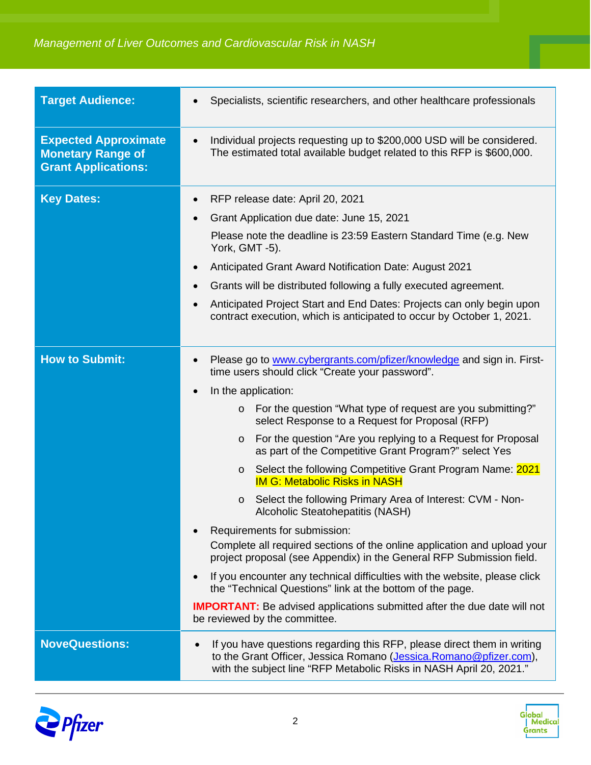| <b>Target Audience:</b>                                                               | Specialists, scientific researchers, and other healthcare professionals                                                                                                                                                                                                                                                                                                                                                                                                                                                                                                                                                                                                                                                                                                                                                                                                                                                                                                                                                                                                                         |
|---------------------------------------------------------------------------------------|-------------------------------------------------------------------------------------------------------------------------------------------------------------------------------------------------------------------------------------------------------------------------------------------------------------------------------------------------------------------------------------------------------------------------------------------------------------------------------------------------------------------------------------------------------------------------------------------------------------------------------------------------------------------------------------------------------------------------------------------------------------------------------------------------------------------------------------------------------------------------------------------------------------------------------------------------------------------------------------------------------------------------------------------------------------------------------------------------|
| <b>Expected Approximate</b><br><b>Monetary Range of</b><br><b>Grant Applications:</b> | Individual projects requesting up to \$200,000 USD will be considered.<br>The estimated total available budget related to this RFP is \$600,000.                                                                                                                                                                                                                                                                                                                                                                                                                                                                                                                                                                                                                                                                                                                                                                                                                                                                                                                                                |
| <b>Key Dates:</b>                                                                     | RFP release date: April 20, 2021<br>Grant Application due date: June 15, 2021<br>$\bullet$<br>Please note the deadline is 23:59 Eastern Standard Time (e.g. New<br>York, GMT -5).<br>Anticipated Grant Award Notification Date: August 2021<br>Grants will be distributed following a fully executed agreement.<br>$\bullet$<br>Anticipated Project Start and End Dates: Projects can only begin upon<br>contract execution, which is anticipated to occur by October 1, 2021.                                                                                                                                                                                                                                                                                                                                                                                                                                                                                                                                                                                                                  |
| <b>How to Submit:</b>                                                                 | Please go to www.cybergrants.com/pfizer/knowledge and sign in. First-<br>time users should click "Create your password".<br>In the application:<br>For the question "What type of request are you submitting?"<br>$\circ$<br>select Response to a Request for Proposal (RFP)<br>For the question "Are you replying to a Request for Proposal<br>$\circ$<br>as part of the Competitive Grant Program?" select Yes<br>Select the following Competitive Grant Program Name: 2021<br>$\circ$<br><b>IM G: Metabolic Risks in NASH</b><br>Select the following Primary Area of Interest: CVM - Non-<br>$\circ$<br>Alcoholic Steatohepatitis (NASH)<br>Requirements for submission:<br>Complete all required sections of the online application and upload your<br>project proposal (see Appendix) in the General RFP Submission field.<br>If you encounter any technical difficulties with the website, please click<br>the "Technical Questions" link at the bottom of the page.<br><b>IMPORTANT:</b> Be advised applications submitted after the due date will not<br>be reviewed by the committee. |
| <b>NoveQuestions:</b>                                                                 | If you have questions regarding this RFP, please direct them in writing<br>to the Grant Officer, Jessica Romano (Jessica.Romano@pfizer.com),<br>with the subject line "RFP Metabolic Risks in NASH April 20, 2021."                                                                                                                                                                                                                                                                                                                                                                                                                                                                                                                                                                                                                                                                                                                                                                                                                                                                             |



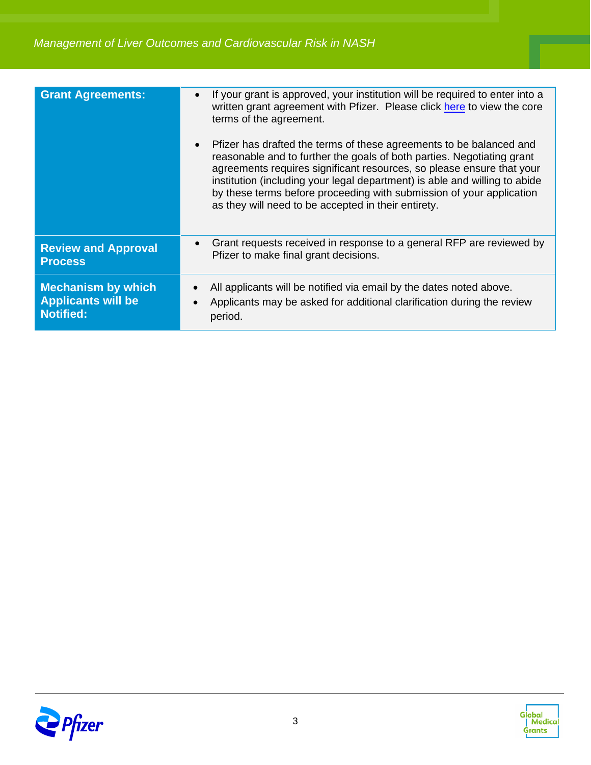| <b>Grant Agreements:</b>                                                   | If your grant is approved, your institution will be required to enter into a<br>written grant agreement with Pfizer. Please click here to view the core<br>terms of the agreement.<br>Pfizer has drafted the terms of these agreements to be balanced and<br>$\bullet$<br>reasonable and to further the goals of both parties. Negotiating grant |
|----------------------------------------------------------------------------|--------------------------------------------------------------------------------------------------------------------------------------------------------------------------------------------------------------------------------------------------------------------------------------------------------------------------------------------------|
|                                                                            | agreements requires significant resources, so please ensure that your<br>institution (including your legal department) is able and willing to abide<br>by these terms before proceeding with submission of your application<br>as they will need to be accepted in their entirety.                                                               |
| <b>Review and Approval</b><br><b>Process</b>                               | Grant requests received in response to a general RFP are reviewed by<br>$\bullet$<br>Pfizer to make final grant decisions.                                                                                                                                                                                                                       |
| <b>Mechanism by which</b><br><b>Applicants will be</b><br><b>Notified:</b> | All applicants will be notified via email by the dates noted above.<br>Applicants may be asked for additional clarification during the review<br>period.                                                                                                                                                                                         |



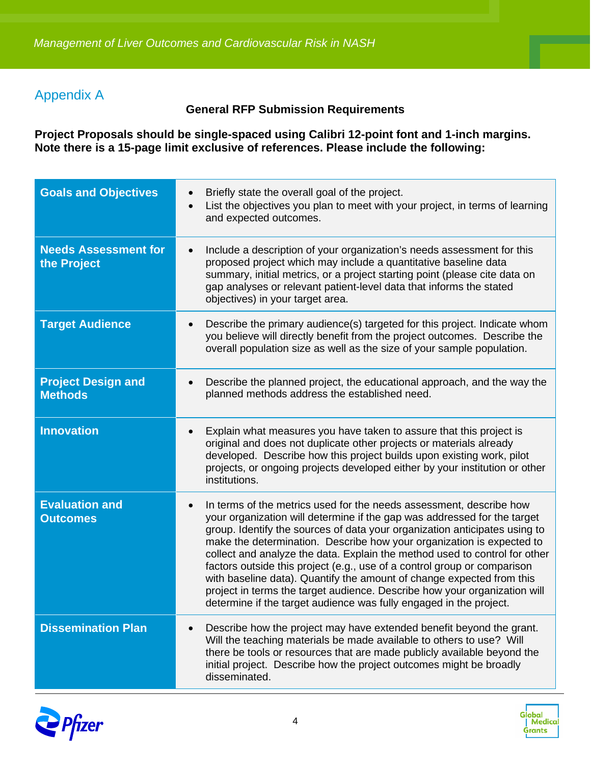### Appendix A

#### **General RFP Submission Requirements**

**Project Proposals should be single-spaced using Calibri 12-point font and 1-inch margins. Note there is a 15-page limit exclusive of references. Please include the following:**

| <b>Goals and Objectives</b>                 | Briefly state the overall goal of the project.<br>List the objectives you plan to meet with your project, in terms of learning<br>and expected outcomes.                                                                                                                                                                                                                                                                                                                                                                                                                                                                                                                                                  |
|---------------------------------------------|-----------------------------------------------------------------------------------------------------------------------------------------------------------------------------------------------------------------------------------------------------------------------------------------------------------------------------------------------------------------------------------------------------------------------------------------------------------------------------------------------------------------------------------------------------------------------------------------------------------------------------------------------------------------------------------------------------------|
| <b>Needs Assessment for</b><br>the Project  | Include a description of your organization's needs assessment for this<br>$\bullet$<br>proposed project which may include a quantitative baseline data<br>summary, initial metrics, or a project starting point (please cite data on<br>gap analyses or relevant patient-level data that informs the stated<br>objectives) in your target area.                                                                                                                                                                                                                                                                                                                                                           |
| <b>Target Audience</b>                      | Describe the primary audience(s) targeted for this project. Indicate whom<br>$\bullet$<br>you believe will directly benefit from the project outcomes. Describe the<br>overall population size as well as the size of your sample population.                                                                                                                                                                                                                                                                                                                                                                                                                                                             |
| <b>Project Design and</b><br><b>Methods</b> | Describe the planned project, the educational approach, and the way the<br>$\bullet$<br>planned methods address the established need.                                                                                                                                                                                                                                                                                                                                                                                                                                                                                                                                                                     |
| <b>Innovation</b>                           | Explain what measures you have taken to assure that this project is<br>original and does not duplicate other projects or materials already<br>developed. Describe how this project builds upon existing work, pilot<br>projects, or ongoing projects developed either by your institution or other<br>institutions.                                                                                                                                                                                                                                                                                                                                                                                       |
| <b>Evaluation and</b><br><b>Outcomes</b>    | In terms of the metrics used for the needs assessment, describe how<br>$\bullet$<br>your organization will determine if the gap was addressed for the target<br>group. Identify the sources of data your organization anticipates using to<br>make the determination. Describe how your organization is expected to<br>collect and analyze the data. Explain the method used to control for other<br>factors outside this project (e.g., use of a control group or comparison<br>with baseline data). Quantify the amount of change expected from this<br>project in terms the target audience. Describe how your organization will<br>determine if the target audience was fully engaged in the project. |
| <b>Dissemination Plan</b>                   | Describe how the project may have extended benefit beyond the grant.<br>Will the teaching materials be made available to others to use? Will<br>there be tools or resources that are made publicly available beyond the<br>initial project. Describe how the project outcomes might be broadly<br>disseminated.                                                                                                                                                                                                                                                                                                                                                                                           |